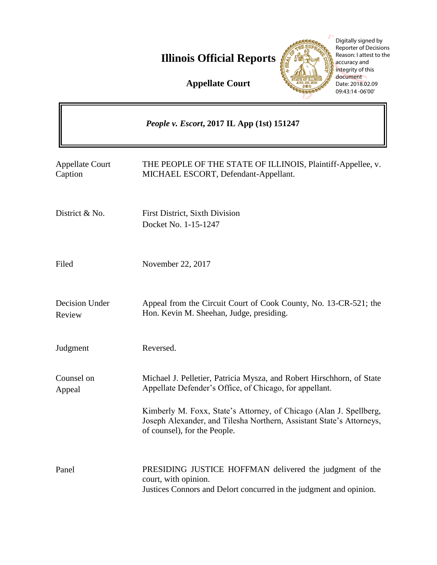**Illinois Official Reports** 

**CARGOSCOPIES** 

Digitally signed by Reporter of Decisions Reason: I attest to the accuracy and integrity of this document Date: 2018.02.09 09:43:14 -06'00'

**Appellate Court**

|                                   | People v. Escort, 2017 IL App (1st) 151247                                                                                                                                 |
|-----------------------------------|----------------------------------------------------------------------------------------------------------------------------------------------------------------------------|
| <b>Appellate Court</b><br>Caption | THE PEOPLE OF THE STATE OF ILLINOIS, Plaintiff-Appellee, v.<br>MICHAEL ESCORT, Defendant-Appellant.                                                                        |
| District & No.                    | <b>First District, Sixth Division</b><br>Docket No. 1-15-1247                                                                                                              |
| Filed                             | November 22, 2017                                                                                                                                                          |
| Decision Under<br>Review          | Appeal from the Circuit Court of Cook County, No. 13-CR-521; the<br>Hon. Kevin M. Sheehan, Judge, presiding.                                                               |
| Judgment                          | Reversed.                                                                                                                                                                  |
| Counsel on<br>Appeal              | Michael J. Pelletier, Patricia Mysza, and Robert Hirschhorn, of State<br>Appellate Defender's Office, of Chicago, for appellant.                                           |
|                                   | Kimberly M. Foxx, State's Attorney, of Chicago (Alan J. Spellberg,<br>Joseph Alexander, and Tilesha Northern, Assistant State's Attorneys,<br>of counsel), for the People. |
| Panel                             | PRESIDING JUSTICE HOFFMAN delivered the judgment of the<br>court, with opinion.<br>Justices Connors and Delort concurred in the judgment and opinion.                      |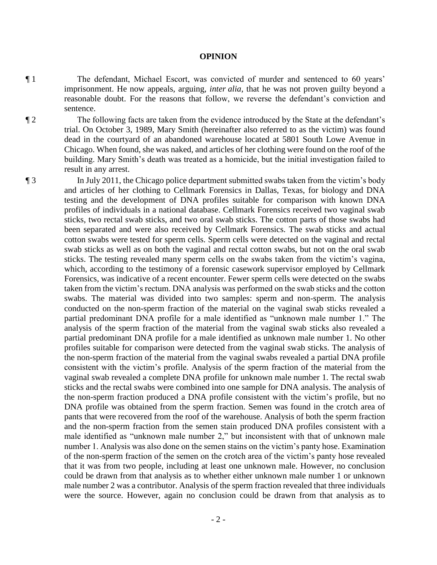## **OPINION**

¶ 1 The defendant, Michael Escort, was convicted of murder and sentenced to 60 years' imprisonment. He now appeals, arguing, *inter alia*, that he was not proven guilty beyond a reasonable doubt. For the reasons that follow, we reverse the defendant's conviction and sentence.

¶ 2 The following facts are taken from the evidence introduced by the State at the defendant's trial. On October 3, 1989, Mary Smith (hereinafter also referred to as the victim) was found dead in the courtyard of an abandoned warehouse located at 5801 South Lowe Avenue in Chicago. When found, she was naked, and articles of her clothing were found on the roof of the building. Mary Smith's death was treated as a homicide, but the initial investigation failed to result in any arrest.

¶ 3 In July 2011, the Chicago police department submitted swabs taken from the victim's body and articles of her clothing to Cellmark Forensics in Dallas, Texas, for biology and DNA testing and the development of DNA profiles suitable for comparison with known DNA profiles of individuals in a national database. Cellmark Forensics received two vaginal swab sticks, two rectal swab sticks, and two oral swab sticks. The cotton parts of those swabs had been separated and were also received by Cellmark Forensics. The swab sticks and actual cotton swabs were tested for sperm cells. Sperm cells were detected on the vaginal and rectal swab sticks as well as on both the vaginal and rectal cotton swabs, but not on the oral swab sticks. The testing revealed many sperm cells on the swabs taken from the victim's vagina, which, according to the testimony of a forensic casework supervisor employed by Cellmark Forensics, was indicative of a recent encounter. Fewer sperm cells were detected on the swabs taken from the victim's rectum. DNA analysis was performed on the swab sticks and the cotton swabs. The material was divided into two samples: sperm and non-sperm. The analysis conducted on the non-sperm fraction of the material on the vaginal swab sticks revealed a partial predominant DNA profile for a male identified as "unknown male number 1." The analysis of the sperm fraction of the material from the vaginal swab sticks also revealed a partial predominant DNA profile for a male identified as unknown male number 1. No other profiles suitable for comparison were detected from the vaginal swab sticks. The analysis of the non-sperm fraction of the material from the vaginal swabs revealed a partial DNA profile consistent with the victim's profile. Analysis of the sperm fraction of the material from the vaginal swab revealed a complete DNA profile for unknown male number 1. The rectal swab sticks and the rectal swabs were combined into one sample for DNA analysis. The analysis of the non-sperm fraction produced a DNA profile consistent with the victim's profile, but no DNA profile was obtained from the sperm fraction. Semen was found in the crotch area of pants that were recovered from the roof of the warehouse. Analysis of both the sperm fraction and the non-sperm fraction from the semen stain produced DNA profiles consistent with a male identified as "unknown male number 2," but inconsistent with that of unknown male number 1. Analysis was also done on the semen stains on the victim's panty hose. Examination of the non-sperm fraction of the semen on the crotch area of the victim's panty hose revealed that it was from two people, including at least one unknown male. However, no conclusion could be drawn from that analysis as to whether either unknown male number 1 or unknown male number 2 was a contributor. Analysis of the sperm fraction revealed that three individuals were the source. However, again no conclusion could be drawn from that analysis as to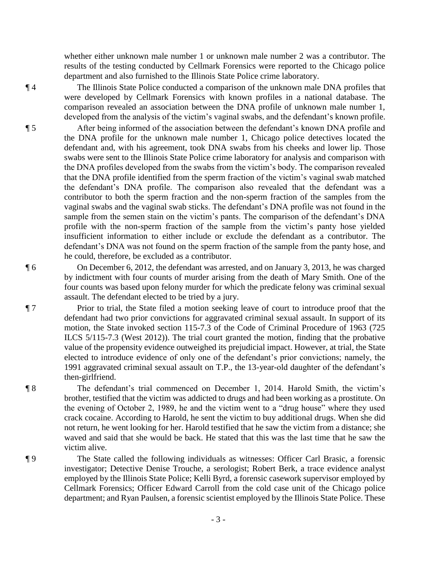whether either unknown male number 1 or unknown male number 2 was a contributor. The results of the testing conducted by Cellmark Forensics were reported to the Chicago police department and also furnished to the Illinois State Police crime laboratory.

¶ 4 The Illinois State Police conducted a comparison of the unknown male DNA profiles that were developed by Cellmark Forensics with known profiles in a national database. The comparison revealed an association between the DNA profile of unknown male number 1, developed from the analysis of the victim's vaginal swabs, and the defendant's known profile.

¶ 5 After being informed of the association between the defendant's known DNA profile and the DNA profile for the unknown male number 1, Chicago police detectives located the defendant and, with his agreement, took DNA swabs from his cheeks and lower lip. Those swabs were sent to the Illinois State Police crime laboratory for analysis and comparison with the DNA profiles developed from the swabs from the victim's body. The comparison revealed that the DNA profile identified from the sperm fraction of the victim's vaginal swab matched the defendant's DNA profile. The comparison also revealed that the defendant was a contributor to both the sperm fraction and the non-sperm fraction of the samples from the vaginal swabs and the vaginal swab sticks. The defendant's DNA profile was not found in the sample from the semen stain on the victim's pants. The comparison of the defendant's DNA profile with the non-sperm fraction of the sample from the victim's panty hose yielded insufficient information to either include or exclude the defendant as a contributor. The defendant's DNA was not found on the sperm fraction of the sample from the panty hose, and he could, therefore, be excluded as a contributor.

¶ 6 On December 6, 2012, the defendant was arrested, and on January 3, 2013, he was charged by indictment with four counts of murder arising from the death of Mary Smith. One of the four counts was based upon felony murder for which the predicate felony was criminal sexual assault. The defendant elected to be tried by a jury.

¶ 7 Prior to trial, the State filed a motion seeking leave of court to introduce proof that the defendant had two prior convictions for aggravated criminal sexual assault. In support of its motion, the State invoked section 115-7.3 of the Code of Criminal Procedure of 1963 (725 ILCS 5/115-7.3 (West 2012)). The trial court granted the motion, finding that the probative value of the propensity evidence outweighed its prejudicial impact. However, at trial, the State elected to introduce evidence of only one of the defendant's prior convictions; namely, the 1991 aggravated criminal sexual assault on T.P., the 13-year-old daughter of the defendant's then-girlfriend.

¶ 8 The defendant's trial commenced on December 1, 2014. Harold Smith, the victim's brother, testified that the victim was addicted to drugs and had been working as a prostitute. On the evening of October 2, 1989, he and the victim went to a "drug house" where they used crack cocaine. According to Harold, he sent the victim to buy additional drugs. When she did not return, he went looking for her. Harold testified that he saw the victim from a distance; she waved and said that she would be back. He stated that this was the last time that he saw the victim alive.

¶ 9 The State called the following individuals as witnesses: Officer Carl Brasic, a forensic investigator; Detective Denise Trouche, a serologist; Robert Berk, a trace evidence analyst employed by the Illinois State Police; Kelli Byrd, a forensic casework supervisor employed by Cellmark Forensics; Officer Edward Carroll from the cold case unit of the Chicago police department; and Ryan Paulsen, a forensic scientist employed by the Illinois State Police. These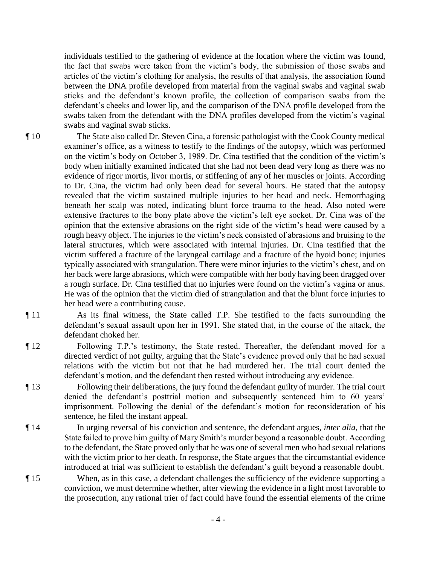individuals testified to the gathering of evidence at the location where the victim was found, the fact that swabs were taken from the victim's body, the submission of those swabs and articles of the victim's clothing for analysis, the results of that analysis, the association found between the DNA profile developed from material from the vaginal swabs and vaginal swab sticks and the defendant's known profile, the collection of comparison swabs from the defendant's cheeks and lower lip, and the comparison of the DNA profile developed from the swabs taken from the defendant with the DNA profiles developed from the victim's vaginal swabs and vaginal swab sticks.

- ¶ 10 The State also called Dr. Steven Cina, a forensic pathologist with the Cook County medical examiner's office, as a witness to testify to the findings of the autopsy, which was performed on the victim's body on October 3, 1989. Dr. Cina testified that the condition of the victim's body when initially examined indicated that she had not been dead very long as there was no evidence of rigor mortis, livor mortis, or stiffening of any of her muscles or joints. According to Dr. Cina, the victim had only been dead for several hours. He stated that the autopsy revealed that the victim sustained multiple injuries to her head and neck. Hemorrhaging beneath her scalp was noted, indicating blunt force trauma to the head. Also noted were extensive fractures to the bony plate above the victim's left eye socket. Dr. Cina was of the opinion that the extensive abrasions on the right side of the victim's head were caused by a rough heavy object. The injuries to the victim's neck consisted of abrasions and bruising to the lateral structures, which were associated with internal injuries. Dr. Cina testified that the victim suffered a fracture of the laryngeal cartilage and a fracture of the hyoid bone; injuries typically associated with strangulation. There were minor injuries to the victim's chest, and on her back were large abrasions, which were compatible with her body having been dragged over a rough surface. Dr. Cina testified that no injuries were found on the victim's vagina or anus. He was of the opinion that the victim died of strangulation and that the blunt force injuries to her head were a contributing cause.
- 

¶ 11 As its final witness, the State called T.P. She testified to the facts surrounding the defendant's sexual assault upon her in 1991. She stated that, in the course of the attack, the defendant choked her.

¶ 12 Following T.P.'s testimony, the State rested. Thereafter, the defendant moved for a directed verdict of not guilty, arguing that the State's evidence proved only that he had sexual relations with the victim but not that he had murdered her. The trial court denied the defendant's motion, and the defendant then rested without introducing any evidence.

- ¶ 13 Following their deliberations, the jury found the defendant guilty of murder. The trial court denied the defendant's posttrial motion and subsequently sentenced him to 60 years' imprisonment. Following the denial of the defendant's motion for reconsideration of his sentence, he filed the instant appeal.
- ¶ 14 In urging reversal of his conviction and sentence, the defendant argues, *inter alia*, that the State failed to prove him guilty of Mary Smith's murder beyond a reasonable doubt. According to the defendant, the State proved only that he was one of several men who had sexual relations with the victim prior to her death. In response, the State argues that the circumstantial evidence introduced at trial was sufficient to establish the defendant's guilt beyond a reasonable doubt.
- ¶ 15 When, as in this case, a defendant challenges the sufficiency of the evidence supporting a conviction, we must determine whether, after viewing the evidence in a light most favorable to the prosecution, any rational trier of fact could have found the essential elements of the crime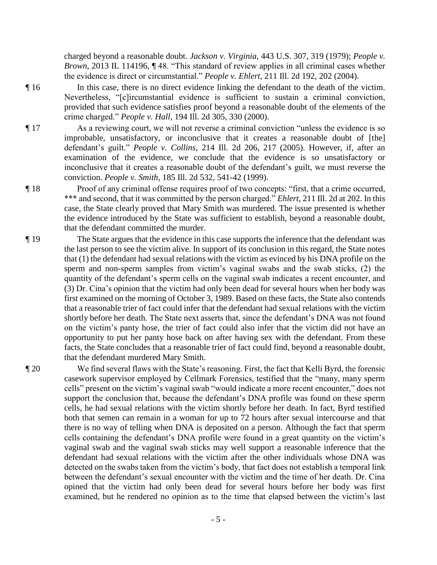charged beyond a reasonable doubt. *Jackson v. Virginia*, 443 U.S. 307, 319 (1979); *People v. Brown*, 2013 IL 114196, ¶ 48. "This standard of review applies in all criminal cases whether the evidence is direct or circumstantial." *People v. Ehlert*, 211 Ill. 2d 192, 202 (2004).

¶ 16 In this case, there is no direct evidence linking the defendant to the death of the victim. Nevertheless, "[c]ircumstantial evidence is sufficient to sustain a criminal conviction, provided that such evidence satisfies proof beyond a reasonable doubt of the elements of the crime charged." *People v. Hall*, 194 Ill. 2d 305, 330 (2000).

¶ 17 As a reviewing court, we will not reverse a criminal conviction "unless the evidence is so improbable, unsatisfactory, or inconclusive that it creates a reasonable doubt of [the] defendant's guilt." *People v. Collins*, 214 Ill. 2d 206, 217 (2005). However, if, after an examination of the evidence, we conclude that the evidence is so unsatisfactory or inconclusive that it creates a reasonable doubt of the defendant's guilt, we must reverse the conviction. *People v. Smith*, 185 Ill. 2d 532, 541-42 (1999).

¶ 18 Proof of any criminal offense requires proof of two concepts: "first, that a crime occurred, \*\*\* and second, that it was committed by the person charged." *Ehlert*, 211 Ill. 2d at 202. In this case, the State clearly proved that Mary Smith was murdered. The issue presented is whether the evidence introduced by the State was sufficient to establish, beyond a reasonable doubt, that the defendant committed the murder.

¶ 19 The State argues that the evidence in this case supports the inference that the defendant was the last person to see the victim alive. In support of its conclusion in this regard, the State notes that (1) the defendant had sexual relations with the victim as evinced by his DNA profile on the sperm and non-sperm samples from victim's vaginal swabs and the swab sticks, (2) the quantity of the defendant's sperm cells on the vaginal swab indicates a recent encounter, and (3) Dr. Cina's opinion that the victim had only been dead for several hours when her body was first examined on the morning of October 3, 1989. Based on these facts, the State also contends that a reasonable trier of fact could infer that the defendant had sexual relations with the victim shortly before her death. The State next asserts that, since the defendant's DNA was not found on the victim's panty hose, the trier of fact could also infer that the victim did not have an opportunity to put her panty hose back on after having sex with the defendant. From these facts, the State concludes that a reasonable trier of fact could find, beyond a reasonable doubt, that the defendant murdered Mary Smith.

¶ 20 We find several flaws with the State's reasoning. First, the fact that Kelli Byrd, the forensic casework supervisor employed by Cellmark Forensics, testified that the "many, many sperm cells" present on the victim's vaginal swab "would indicate a more recent encounter," does not support the conclusion that, because the defendant's DNA profile was found on these sperm cells, he had sexual relations with the victim shortly before her death. In fact, Byrd testified both that semen can remain in a woman for up to 72 hours after sexual intercourse and that there is no way of telling when DNA is deposited on a person. Although the fact that sperm cells containing the defendant's DNA profile were found in a great quantity on the victim's vaginal swab and the vaginal swab sticks may well support a reasonable inference that the defendant had sexual relations with the victim after the other individuals whose DNA was detected on the swabs taken from the victim's body, that fact does not establish a temporal link between the defendant's sexual encounter with the victim and the time of her death. Dr. Cina opined that the victim had only been dead for several hours before her body was first examined, but he rendered no opinion as to the time that elapsed between the victim's last